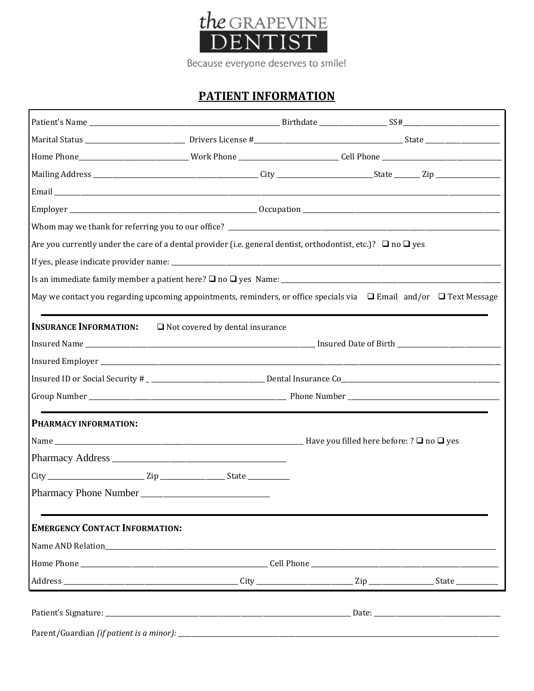

# **PATIENT INFORMATION**

|                                       | Are you currently under the care of a dental provider (i.e. general dentist, orthodontist, etc.)? $\Box$ no $\Box$ yes        |  |  |  |
|---------------------------------------|-------------------------------------------------------------------------------------------------------------------------------|--|--|--|
|                                       |                                                                                                                               |  |  |  |
|                                       |                                                                                                                               |  |  |  |
|                                       | May we contact you regarding upcoming appointments, reminders, or office specials via $\Box$ Email and/or $\Box$ Text Message |  |  |  |
|                                       | <b>INSURANCE INFORMATION:</b> □ Not covered by dental insurance                                                               |  |  |  |
|                                       |                                                                                                                               |  |  |  |
|                                       |                                                                                                                               |  |  |  |
|                                       |                                                                                                                               |  |  |  |
|                                       |                                                                                                                               |  |  |  |
| PHARMACY INFORMATION:                 |                                                                                                                               |  |  |  |
|                                       |                                                                                                                               |  |  |  |
|                                       |                                                                                                                               |  |  |  |
|                                       |                                                                                                                               |  |  |  |
|                                       |                                                                                                                               |  |  |  |
| <b>EMERGENCY CONTACT INFORMATION:</b> |                                                                                                                               |  |  |  |
|                                       |                                                                                                                               |  |  |  |
|                                       |                                                                                                                               |  |  |  |
|                                       |                                                                                                                               |  |  |  |
|                                       |                                                                                                                               |  |  |  |
|                                       |                                                                                                                               |  |  |  |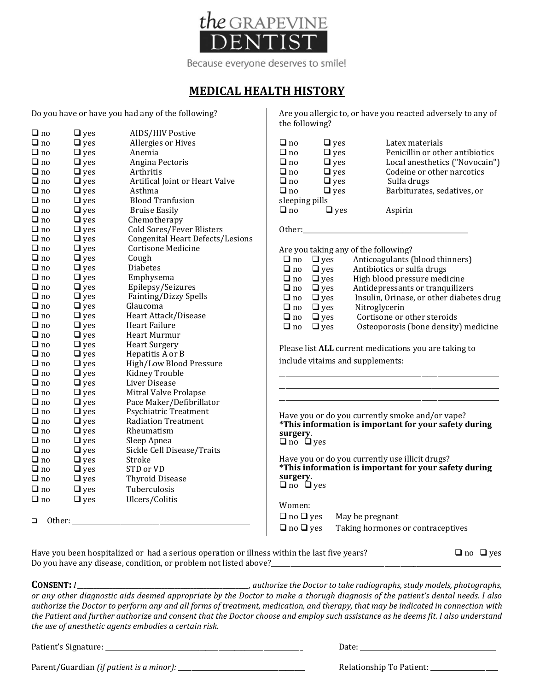

### **MEDICAL HEALTH HISTORY**

Do you have or have you had any of the following?

|           |            |                                         | the following?                                  |                                                       |
|-----------|------------|-----------------------------------------|-------------------------------------------------|-------------------------------------------------------|
| $\Box$ no | $\Box$ yes | AIDS/HIV Postive                        |                                                 |                                                       |
| $\Box$ no | $\Box$ yes | Allergies or Hives                      | $\Box$ no<br>$\Box$ yes                         | Latex materials                                       |
| $\Box$ no | $\Box$ yes | Anemia                                  | $\Box$ no<br>$\Box$ yes                         | Penicillin or other antibiotics                       |
| $\Box$ no | $\Box$ yes | Angina Pectoris                         | $\Box$ no<br>$\Box$ yes                         | Local anesthetics ("Novocain")                        |
| $\Box$ no | $\Box$ yes | Arthritis                               | $\Box$ no<br>$\Box$ yes                         | Codeine or other narcotics                            |
| $\Box$ no | $\Box$ yes | Artifical Joint or Heart Valve          | $\Box$ no<br>$\Box$ yes                         | Sulfa drugs                                           |
| $\Box$ no | $\Box$ yes | Asthma                                  | $\Box$ no<br>$\Box$ yes                         | Barbiturates, sedatives, or                           |
| $\Box$ no | $\Box$ yes | <b>Blood Tranfusion</b>                 | sleeping pills                                  |                                                       |
| $\Box$ no | $\Box$ yes | <b>Bruise Easily</b>                    | $\Box$ yes<br>$\Box$ no                         | Aspirin                                               |
| $\Box$ no | $\Box$ yes | Chemotherapy                            |                                                 |                                                       |
| $\Box$ no | $\Box$ yes | Cold Sores/Fever Blisters               |                                                 |                                                       |
| $\Box$ no | $\Box$ yes | <b>Congenital Heart Defects/Lesions</b> |                                                 |                                                       |
| $\Box$ no | $\Box$ yes | <b>Cortisone Medicine</b>               | Are you taking any of the following?            |                                                       |
| $\Box$ no | $\Box$ yes | Cough                                   | $\Box$ no $\Box$ yes                            | Anticoagulants (blood thinners)                       |
| $\Box$ no | $\Box$ yes | <b>Diabetes</b>                         | $\Box$ no<br>$\Box$ yes                         | Antibiotics or sulfa drugs                            |
| $\Box$ no | $\Box$ yes | Emphysema                               | $\Box$ yes<br>$\Box$ no                         | High blood pressure medicine                          |
| $\Box$ no | $\Box$ yes | Epilepsy/Seizures                       | $\Box$ yes<br>$\Box$ no                         | Antidepressants or tranquilizers                      |
| $\Box$ no | $\Box$ yes | Fainting/Dizzy Spells                   | $\Box$ no<br>$\Box$ yes                         | Insulin, Orinase, or other diabetes drug              |
| $\Box$ no | $\Box$ yes | Glaucoma                                | $\Box$ no<br>$\Box$ yes                         | Nitroglycerin                                         |
| $\Box$ no | $\Box$ yes | Heart Attack/Disease                    | $\Box$ no<br>$\Box$ yes                         | Cortisone or other steroids                           |
| $\Box$ no | $\Box$ yes | Heart Failure                           | $\Box$ no<br>$\Box$ yes                         | Osteoporosis (bone density) medicine                  |
| $\Box$ no | $\Box$ yes | Heart Murmur                            |                                                 |                                                       |
| $\Box$ no | $\Box$ yes | <b>Heart Surgery</b>                    |                                                 | Please list ALL current medications you are taking to |
| $\Box$ no | $\Box$ yes | Hepatitis A or B                        | include vitaims and supplements:                |                                                       |
| $\Box$ no | $\Box$ yes | High/Low Blood Pressure                 |                                                 |                                                       |
| $\Box$ no | $\Box$ yes | Kidney Trouble                          |                                                 |                                                       |
| $\Box$ no | $\Box$ yes | Liver Disease                           |                                                 |                                                       |
| $\Box$ no | $\Box$ yes | Mitral Valve Prolapse                   |                                                 |                                                       |
| $\Box$ no | $\Box$ yes | Pace Maker/Defibrillator                |                                                 |                                                       |
| $\Box$ no | $\Box$ yes | <b>Psychiatric Treatment</b>            |                                                 | Have you or do you currently smoke and/or vape?       |
| $\Box$ no | $\Box$ yes | <b>Radiation Treatment</b>              |                                                 | *This information is important for your safety during |
| $\Box$ no | $\Box$ yes | Rheumatism                              | surgery.                                        |                                                       |
| $\Box$ no | $\Box$ yes | Sleep Apnea                             | $\Box$ no $\Box$ yes                            |                                                       |
| $\Box$ no | $\Box$ yes | Sickle Cell Disease/Traits              | Have you or do you currently use illicit drugs? |                                                       |
| $\Box$ no | $\Box$ yes | Stroke<br>STD or VD                     |                                                 | *This information is important for your safety during |
| $\Box$ no | $\Box$ yes |                                         | surgery.                                        |                                                       |
| $\Box$ no | $\Box$ yes | <b>Thyroid Disease</b>                  | $\Box$ no $\Box$ yes                            |                                                       |
| $\Box$ no | $\Box$ yes | Tuberculosis                            |                                                 |                                                       |
| $\Box$ no | $\Box$ yes | Ulcers/Colitis                          | Women:                                          |                                                       |
|           |            |                                         | $\Box$ no $\Box$ yes                            | May be pregnant                                       |
| □         |            |                                         |                                                 | Taking hormones or contraceptives                     |
|           |            |                                         | $\Box$ no $\Box$ yes                            |                                                       |

Have you been hospitalized or had a serious operation or illness within the last five years?  $\Box$  no  $\Box$  yes Do you have any disease, condition, or problem not listed above?

**CONSENT:** *I \_\_\_\_\_\_\_\_\_\_\_\_\_\_\_\_\_\_\_\_\_\_\_\_\_\_\_\_\_\_\_\_\_\_\_\_\_\_\_\_\_\_\_\_\_\_\_\_\_\_\_\_\_, authorize the Doctor to take radiographs, study models, photographs, or any other diagnostic aids deemed appropriate by the Doctor to make a thorugh diagnosis of the patient's dental needs. I also authorize the Doctor to perform any and all forms of treatment, medication, and therapy, that may be indicated in connection with the Patient and further authorize and consent that the Doctor choose and employ such assistance as he deems fit. I also understand the use of anesthetic agents embodies a certain risk.*

Patient's Signature: \_\_\_\_\_\_\_\_\_\_\_\_\_\_\_\_\_\_\_\_\_\_\_\_\_\_\_\_\_\_\_\_\_\_\_\_\_\_\_\_\_\_\_\_\_\_\_\_\_\_\_\_\_\_\_\_\_\_\_\_\_ Date: \_\_\_\_\_\_\_\_\_\_\_\_\_\_\_\_\_\_\_\_\_\_\_\_\_\_\_\_\_\_\_\_\_\_\_\_\_\_\_\_\_\_

Parent/Guardian *(if patient is a minor):* \_\_\_\_\_\_\_\_\_\_\_\_\_\_\_\_\_\_\_\_\_\_\_\_\_\_\_\_\_\_\_\_\_\_\_\_\_\_\_ Relationship To Patient: \_\_\_\_\_\_\_\_\_\_\_\_\_\_\_\_\_\_\_\_\_

Are you allergic to, or have you reacted adversely to any of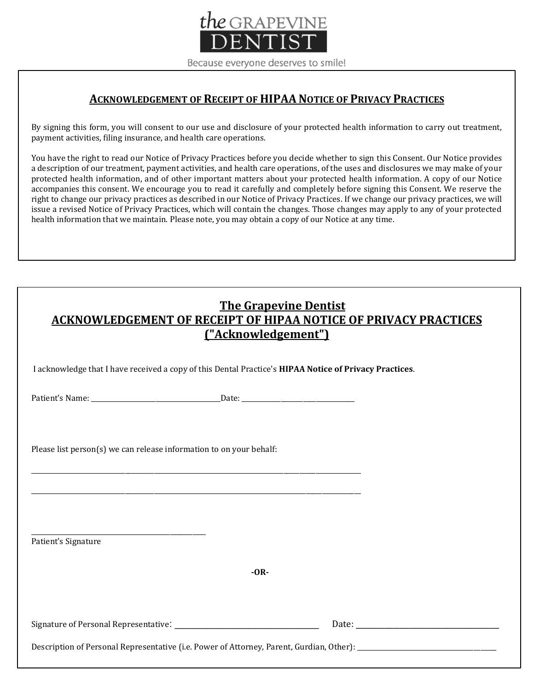

### **ACKNOWLEDGEMENT OF RECEIPT OF HIPAANOTICE OF PRIVACY PRACTICES**

By signing this form, you will consent to our use and disclosure of your protected health information to carry out treatment, payment activities, filing insurance, and health care operations.

You have the right to read our Notice of Privacy Practices before you decide whether to sign this Consent. Our Notice provides a description of our treatment, payment activities, and health care operations, of the uses and disclosures we may make of your protected health information, and of other important matters about your protected health information. A copy of our Notice accompanies this consent. We encourage you to read it carefully and completely before signing this Consent. We reserve the right to change our privacy practices as described in our Notice of Privacy Practices. If we change our privacy practices, we will issue a revised Notice of Privacy Practices, which will contain the changes. Those changes may apply to any of your protected health information that we maintain. Please note, you may obtain a copy of our Notice at any time.

| <b>The Grapevine Dentist</b>                                    |  |  |  |  |
|-----------------------------------------------------------------|--|--|--|--|
| ACKNOWLEDGEMENT OF RECEIPT OF HIPAA NOTICE OF PRIVACY PRACTICES |  |  |  |  |
| <u>("Acknowledgement")</u>                                      |  |  |  |  |

I acknowledge that I have received a copy of this Dental Practice's **HIPAA Notice of Privacy Practices**.

Patient's Name: \_\_\_\_\_\_\_\_\_\_\_\_\_\_\_\_\_\_\_\_\_\_\_\_\_\_\_\_\_\_\_\_\_\_\_\_\_\_\_\_Date: \_\_\_\_\_\_\_\_\_\_\_\_\_\_\_\_\_\_\_\_\_\_\_\_\_\_\_\_\_\_\_\_\_\_\_

Please list person(s) we can release information to on your behalf:

Patient's Signature

**-OR-**

Signature of Personal Representative: \_\_\_\_\_\_\_\_\_\_\_\_\_\_\_\_\_\_\_\_\_\_\_\_\_\_\_ Date: \_\_\_\_\_\_\_\_\_\_\_\_\_\_\_\_\_\_\_\_\_\_\_\_\_\_\_\_\_\_

\_\_\_\_\_\_\_\_\_\_\_\_\_\_\_\_\_\_\_\_\_\_\_\_\_\_\_\_\_\_\_\_\_\_\_\_\_\_\_\_\_\_\_\_\_\_\_\_\_\_\_\_\_\_

Description of Personal Representative (i.e. Power of Attorney, Parent, Gurdian, Other): \_\_\_\_\_\_\_\_\_\_\_\_\_\_\_\_\_\_\_\_\_

\_\_\_\_\_\_\_\_\_\_\_\_\_\_\_\_\_\_\_\_\_\_\_\_\_\_\_\_\_\_\_\_\_\_\_\_\_\_\_\_\_\_\_\_\_\_\_\_\_\_\_\_\_\_\_\_\_\_\_\_\_\_\_\_\_\_\_\_\_\_\_\_\_\_\_\_\_\_\_\_\_\_\_\_\_\_\_\_\_\_\_\_\_\_\_\_\_\_\_\_\_\_

\_\_\_\_\_\_\_\_\_\_\_\_\_\_\_\_\_\_\_\_\_\_\_\_\_\_\_\_\_\_\_\_\_\_\_\_\_\_\_\_\_\_\_\_\_\_\_\_\_\_\_\_\_\_\_\_\_\_\_\_\_\_\_\_\_\_\_\_\_\_\_\_\_\_\_\_\_\_\_\_\_\_\_\_\_\_\_\_\_\_\_\_\_\_\_\_\_\_\_\_\_\_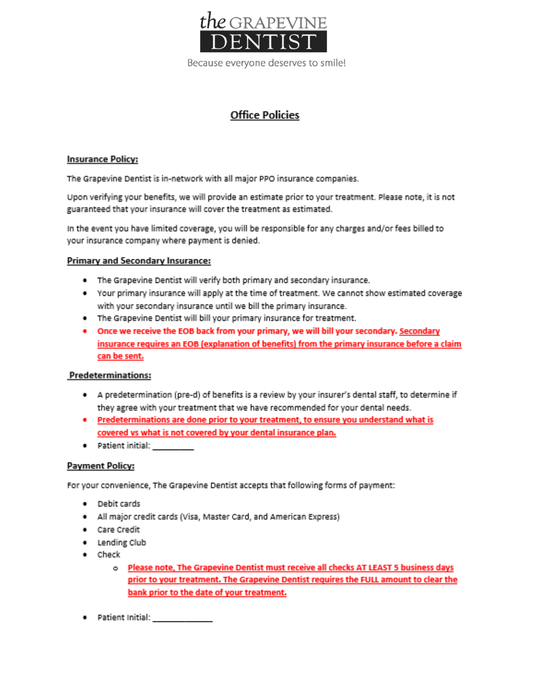

### **Office Policies**

#### **Insurance Policy:**

The Grapevine Dentist is in-network with all major PPO insurance companies.

Upon verifying your benefits, we will provide an estimate prior to your treatment. Please note, it is not guaranteed that your insurance will cover the treatment as estimated.

In the event you have limited coverage, you will be responsible for any charges and/or fees billed to your insurance company where payment is denied.

#### Primary and Secondary Insurance:

- . The Grapevine Dentist will verify both primary and secondary insurance.
- Your primary insurance will apply at the time of treatment. We cannot show estimated coverage with your secondary insurance until we bill the primary insurance.
- . The Grapevine Dentist will bill your primary insurance for treatment.
- . Once we receive the EOB back from your primary, we will bill your secondary. Secondary insurance requires an EOB (explanation of benefits) from the primary insurance before a claim can be sent.

#### **Predeterminations:**

- . A predetermination (pre-d) of benefits is a review by your insurer's dental staff, to determine if they agree with your treatment that we have recommended for your dental needs.
- . Predeterminations are done prior to your treatment, to ensure you understand what is covered vs what is not covered by your dental insurance plan.
- · Patient initial:

#### **Payment Policy:**

For your convenience, The Grapevine Dentist accepts that following forms of payment:

- · Debit cards
- . All major credit cards (Visa, Master Card, and American Express)
- · Care Credit
- Lending Club
- $\bullet$  Check
	- o Please note, The Grapevine Dentist must receive all checks AT LEAST 5 business days prior to your treatment. The Grapevine Dentist requires the FULL amount to clear the bank prior to the date of your treatment.
- $\bullet$  Patient Initial:  $\qquad \qquad$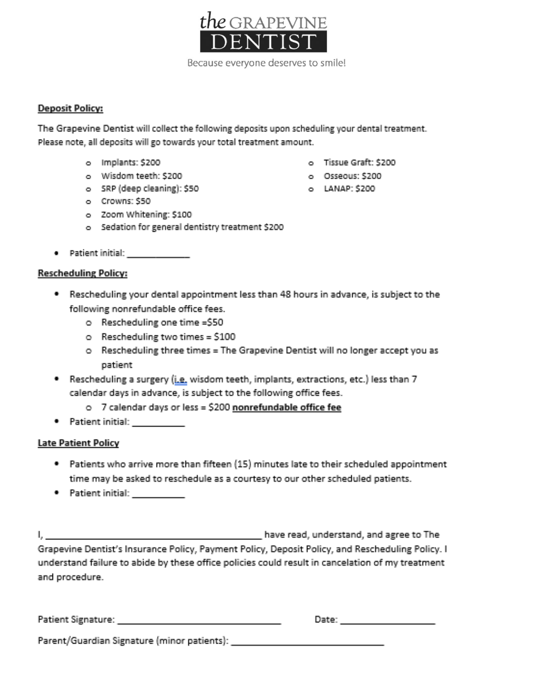

#### **Deposit Policy:**

The Grapevine Dentist will collect the following deposits upon scheduling your dental treatment. Please note, all deposits will go towards your total treatment amount.

- o Implants: \$200
- o Wisdom teeth: \$200
- o SRP (deep cleaning): \$50
- o Crowns: \$50
- o Zoom Whitening: \$100
- o Sedation for general dentistry treatment \$200
- 

#### **Rescheduling Policy:**

- \* Rescheduling your dental appointment less than 48 hours in advance, is subject to the following nonrefundable office fees.
	- o Rescheduling one time =\$50
	- o Rescheduling two times = \$100
	- o Rescheduling three times = The Grapevine Dentist will no longer accept you as patient.
- \* Rescheduling a surgery (i.e. wisdom teeth, implants, extractions, etc.) less than 7 calendar days in advance, is subject to the following office fees.
	- o 7 calendar days or less = \$200 nonrefundable office fee
- Patient initial: 1999

#### **Late Patient Policy**

- \* Patients who arrive more than fifteen (15) minutes late to their scheduled appointment time may be asked to reschedule as a courtesy to our other scheduled patients.
- Patient initial: 1999

have read, understand, and agree to The L. Samuel Grapevine Dentist's Insurance Policy, Payment Policy, Deposit Policy, and Rescheduling Policy. I understand failure to abide by these office policies could result in cancelation of my treatment and procedure.

| Patient Signature:                          | Date: |  |
|---------------------------------------------|-------|--|
| Parent/Guardian Signature (minor patients): |       |  |

- o Tissue Graft: \$200
- o Osseous: \$200
- o LANAP: \$200